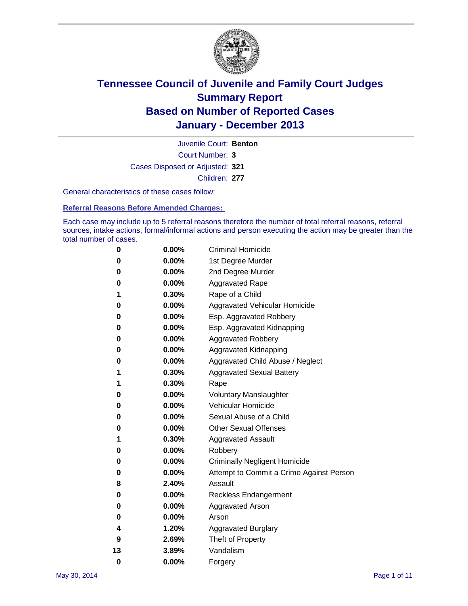

Court Number: **3** Juvenile Court: **Benton** Cases Disposed or Adjusted: **321** Children: **277**

General characteristics of these cases follow:

**Referral Reasons Before Amended Charges:** 

Each case may include up to 5 referral reasons therefore the number of total referral reasons, referral sources, intake actions, formal/informal actions and person executing the action may be greater than the total number of cases.

| 0        | 0.00%    | <b>Criminal Homicide</b>                 |
|----------|----------|------------------------------------------|
| 0        | 0.00%    | 1st Degree Murder                        |
| 0        | 0.00%    | 2nd Degree Murder                        |
| 0        | $0.00\%$ | <b>Aggravated Rape</b>                   |
| 1        | 0.30%    | Rape of a Child                          |
| 0        | 0.00%    | <b>Aggravated Vehicular Homicide</b>     |
| 0        | 0.00%    | Esp. Aggravated Robbery                  |
| 0        | 0.00%    | Esp. Aggravated Kidnapping               |
| 0        | $0.00\%$ | <b>Aggravated Robbery</b>                |
| 0        | 0.00%    | Aggravated Kidnapping                    |
| 0        | 0.00%    | Aggravated Child Abuse / Neglect         |
| 1        | 0.30%    | <b>Aggravated Sexual Battery</b>         |
| 1        | 0.30%    | Rape                                     |
| 0        | 0.00%    | <b>Voluntary Manslaughter</b>            |
| 0        | 0.00%    | Vehicular Homicide                       |
| 0        | 0.00%    | Sexual Abuse of a Child                  |
| 0        | 0.00%    | <b>Other Sexual Offenses</b>             |
| 1        | 0.30%    | <b>Aggravated Assault</b>                |
| 0        | 0.00%    | Robbery                                  |
| 0        | 0.00%    | <b>Criminally Negligent Homicide</b>     |
| 0        | 0.00%    | Attempt to Commit a Crime Against Person |
| 8        | 2.40%    | Assault                                  |
| 0        | 0.00%    | <b>Reckless Endangerment</b>             |
| 0        | 0.00%    | Aggravated Arson                         |
| 0        | $0.00\%$ | Arson                                    |
| 4        | 1.20%    | <b>Aggravated Burglary</b>               |
| 9        | 2.69%    | Theft of Property                        |
| 13       | 3.89%    | Vandalism                                |
| $\bf{0}$ | 0.00%    | Forgery                                  |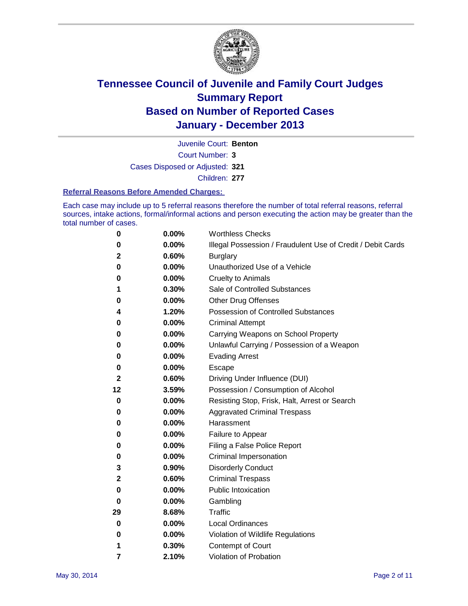

Court Number: **3** Juvenile Court: **Benton** Cases Disposed or Adjusted: **321** Children: **277**

#### **Referral Reasons Before Amended Charges:**

Each case may include up to 5 referral reasons therefore the number of total referral reasons, referral sources, intake actions, formal/informal actions and person executing the action may be greater than the total number of cases.

| $\boldsymbol{0}$ | 0.00% | <b>Worthless Checks</b>                                     |
|------------------|-------|-------------------------------------------------------------|
| 0                | 0.00% | Illegal Possession / Fraudulent Use of Credit / Debit Cards |
| 2                | 0.60% | <b>Burglary</b>                                             |
| 0                | 0.00% | Unauthorized Use of a Vehicle                               |
| 0                | 0.00% | <b>Cruelty to Animals</b>                                   |
| 1                | 0.30% | Sale of Controlled Substances                               |
| 0                | 0.00% | <b>Other Drug Offenses</b>                                  |
| 4                | 1.20% | Possession of Controlled Substances                         |
| 0                | 0.00% | <b>Criminal Attempt</b>                                     |
| 0                | 0.00% | Carrying Weapons on School Property                         |
| 0                | 0.00% | Unlawful Carrying / Possession of a Weapon                  |
| 0                | 0.00% | <b>Evading Arrest</b>                                       |
| 0                | 0.00% | Escape                                                      |
| $\mathbf{2}$     | 0.60% | Driving Under Influence (DUI)                               |
| 12               | 3.59% | Possession / Consumption of Alcohol                         |
| 0                | 0.00% | Resisting Stop, Frisk, Halt, Arrest or Search               |
| 0                | 0.00% | <b>Aggravated Criminal Trespass</b>                         |
| 0                | 0.00% | Harassment                                                  |
| 0                | 0.00% | Failure to Appear                                           |
| 0                | 0.00% | Filing a False Police Report                                |
| 0                | 0.00% | Criminal Impersonation                                      |
| 3                | 0.90% | <b>Disorderly Conduct</b>                                   |
| 2                | 0.60% | <b>Criminal Trespass</b>                                    |
| 0                | 0.00% | <b>Public Intoxication</b>                                  |
| 0                | 0.00% | Gambling                                                    |
| 29               | 8.68% | Traffic                                                     |
| 0                | 0.00% | <b>Local Ordinances</b>                                     |
| 0                | 0.00% | Violation of Wildlife Regulations                           |
| 1                | 0.30% | Contempt of Court                                           |
| 7                | 2.10% | Violation of Probation                                      |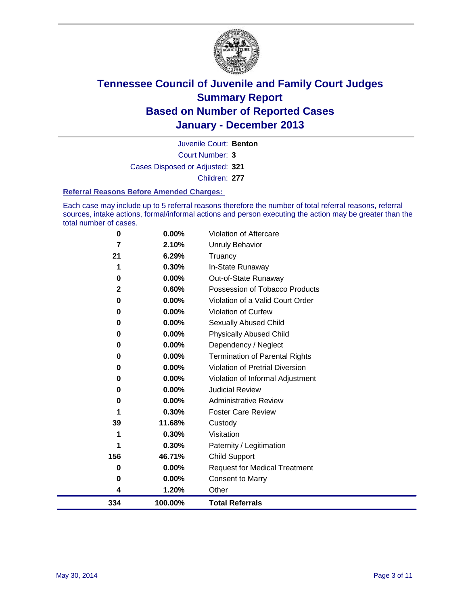

Court Number: **3** Juvenile Court: **Benton** Cases Disposed or Adjusted: **321** Children: **277**

#### **Referral Reasons Before Amended Charges:**

Each case may include up to 5 referral reasons therefore the number of total referral reasons, referral sources, intake actions, formal/informal actions and person executing the action may be greater than the total number of cases.

| 334      | 100.00%        | <b>Total Referrals</b>                 |
|----------|----------------|----------------------------------------|
| 4        | 1.20%          | Other                                  |
| 0        | $0.00\%$       | <b>Consent to Marry</b>                |
| $\bf{0}$ | 0.00%          | <b>Request for Medical Treatment</b>   |
| 156      | 46.71%         | <b>Child Support</b>                   |
| 1        | 0.30%          | Paternity / Legitimation               |
| 1        | 0.30%          | Visitation                             |
| 39       | 11.68%         | Custody                                |
| 1        | 0.30%          | <b>Foster Care Review</b>              |
| 0        | 0.00%          | <b>Administrative Review</b>           |
| 0        | 0.00%          | <b>Judicial Review</b>                 |
| 0        | 0.00%          | Violation of Informal Adjustment       |
| 0        | 0.00%          | <b>Violation of Pretrial Diversion</b> |
| 0        | 0.00%          | <b>Termination of Parental Rights</b>  |
| 0        | 0.00%          | Dependency / Neglect                   |
| 0        | $0.00\%$       | <b>Physically Abused Child</b>         |
| 0        | $0.00\%$       | Sexually Abused Child                  |
| $\bf{0}$ | $0.00\%$       | Violation of Curfew                    |
| 0        | 0.00%          | Violation of a Valid Court Order       |
| 2        | 0.60%          | Possession of Tobacco Products         |
| 0        | 0.00%          | Out-of-State Runaway                   |
| 21<br>1  | 6.29%<br>0.30% | Truancy<br>In-State Runaway            |
| 7        | 2.10%          | Unruly Behavior                        |
| $\bf{0}$ | $0.00\%$       | <b>Violation of Aftercare</b>          |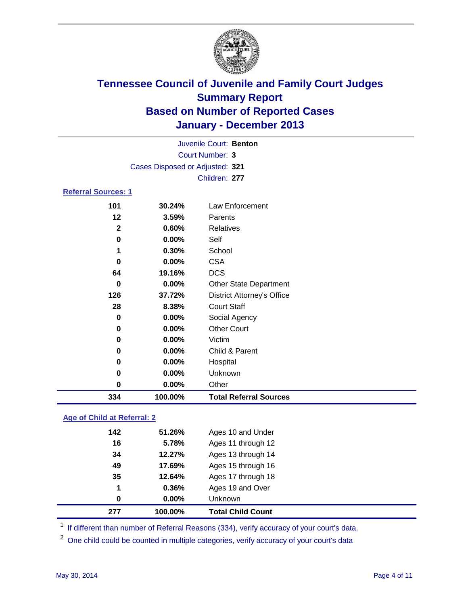

| Juvenile Court: Benton          |  |
|---------------------------------|--|
| Court Number: 3                 |  |
| Cases Disposed or Adjusted: 321 |  |
| Children: 277                   |  |
| <b>Referral Sources: 1</b>      |  |

| 334 | 100.00%               | <b>Total Referral Sources</b>     |
|-----|-----------------------|-----------------------------------|
|     | 0.00%<br>0            | Other                             |
|     | 0.00%<br>0            | Unknown                           |
|     | 0.00%<br>0            | Hospital                          |
|     | 0.00%<br>0            | Child & Parent                    |
|     | 0.00%<br>0            | Victim                            |
|     | 0.00%<br>0            | <b>Other Court</b>                |
|     | 0<br>$0.00\%$         | Social Agency                     |
| 28  | 8.38%                 | <b>Court Staff</b>                |
| 126 | 37.72%                | <b>District Attorney's Office</b> |
|     | 0.00%<br>0            | <b>Other State Department</b>     |
| 64  | 19.16%                | <b>DCS</b>                        |
|     | 0.00%<br>0            | <b>CSA</b>                        |
|     | 0.30%                 | School                            |
|     | 0.00%<br>0            | Self                              |
|     | $\mathbf{2}$<br>0.60% | Relatives                         |
| 12  | 3.59%                 | Parents                           |
| 101 | 30.24%                | Law Enforcement                   |

### **Age of Child at Referral: 2**

| 0<br>277 | 0.00%<br>100.00% | <b>Unknown</b><br><b>Total Child Count</b> |
|----------|------------------|--------------------------------------------|
| 1        | 0.36%            | Ages 19 and Over                           |
| 35       | 12.64%           | Ages 17 through 18                         |
| 49       | 17.69%           | Ages 15 through 16                         |
| 34       | 12.27%           | Ages 13 through 14                         |
| 16       | 5.78%            | Ages 11 through 12                         |
| 142      | 51.26%           | Ages 10 and Under                          |

<sup>1</sup> If different than number of Referral Reasons (334), verify accuracy of your court's data.

<sup>2</sup> One child could be counted in multiple categories, verify accuracy of your court's data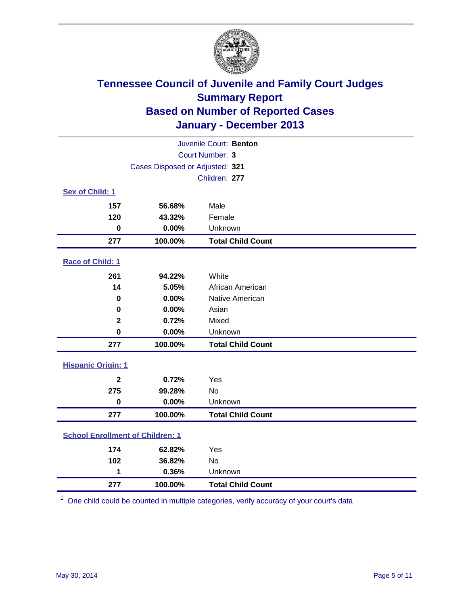

| Juvenile Court: Benton                  |                                 |                          |  |  |
|-----------------------------------------|---------------------------------|--------------------------|--|--|
|                                         | Court Number: 3                 |                          |  |  |
|                                         | Cases Disposed or Adjusted: 321 |                          |  |  |
|                                         |                                 | Children: 277            |  |  |
| Sex of Child: 1                         |                                 |                          |  |  |
| 157                                     | 56.68%                          | Male                     |  |  |
| 120                                     | 43.32%                          | Female                   |  |  |
| $\mathbf 0$                             | 0.00%                           | Unknown                  |  |  |
| 277                                     | 100.00%                         | <b>Total Child Count</b> |  |  |
| Race of Child: 1                        |                                 |                          |  |  |
| 261                                     | 94.22%                          | White                    |  |  |
| 14                                      | 5.05%                           | African American         |  |  |
| 0                                       | 0.00%                           | Native American          |  |  |
| 0                                       | 0.00%                           | Asian                    |  |  |
| $\mathbf{2}$                            | 0.72%                           | Mixed                    |  |  |
| $\bf{0}$                                | 0.00%                           | Unknown                  |  |  |
| 277                                     | 100.00%                         | <b>Total Child Count</b> |  |  |
| <b>Hispanic Origin: 1</b>               |                                 |                          |  |  |
| $\mathbf{2}$                            | 0.72%                           | Yes                      |  |  |
| 275                                     | 99.28%                          | No                       |  |  |
| $\mathbf 0$                             | 0.00%                           | Unknown                  |  |  |
| 277                                     | 100.00%                         | <b>Total Child Count</b> |  |  |
| <b>School Enrollment of Children: 1</b> |                                 |                          |  |  |
| 174                                     | 62.82%                          | Yes                      |  |  |
| 102                                     | 36.82%                          | <b>No</b>                |  |  |
| 1                                       | 0.36%                           | Unknown                  |  |  |
| 277                                     | 100.00%                         | <b>Total Child Count</b> |  |  |

One child could be counted in multiple categories, verify accuracy of your court's data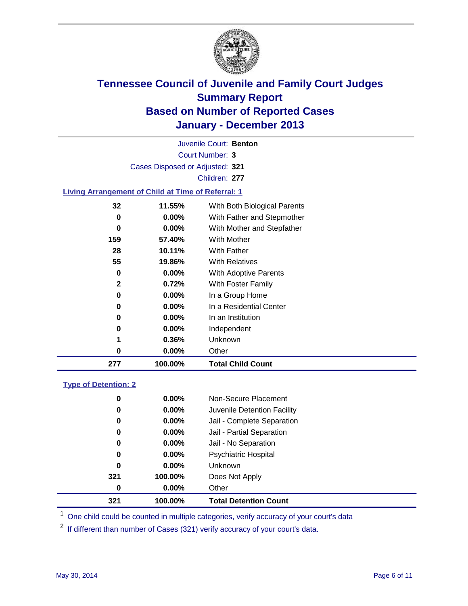

Court Number: **3** Juvenile Court: **Benton** Cases Disposed or Adjusted: **321** Children: **277**

### **Living Arrangement of Child at Time of Referral: 1**

| 277          | 100.00%  | <b>Total Child Count</b>     |  |
|--------------|----------|------------------------------|--|
| 0            | $0.00\%$ | Other                        |  |
| 1            | 0.36%    | Unknown                      |  |
| 0            | $0.00\%$ | Independent                  |  |
| 0            | $0.00\%$ | In an Institution            |  |
| 0            | $0.00\%$ | In a Residential Center      |  |
| 0            | $0.00\%$ | In a Group Home              |  |
| $\mathbf{2}$ | 0.72%    | With Foster Family           |  |
| 0            | 0.00%    | <b>With Adoptive Parents</b> |  |
| 55           | 19.86%   | <b>With Relatives</b>        |  |
| 28           | 10.11%   | With Father                  |  |
| 159          | 57.40%   | <b>With Mother</b>           |  |
| 0            | 0.00%    | With Mother and Stepfather   |  |
| 0            | $0.00\%$ | With Father and Stepmother   |  |
| 32           | 11.55%   | With Both Biological Parents |  |
|              |          |                              |  |

### **Type of Detention: 2**

| 321 | 100.00%  | <b>Total Detention Count</b> |  |
|-----|----------|------------------------------|--|
| 0   | $0.00\%$ | Other                        |  |
| 321 | 100.00%  | Does Not Apply               |  |
| 0   | $0.00\%$ | <b>Unknown</b>               |  |
| 0   | $0.00\%$ | <b>Psychiatric Hospital</b>  |  |
| 0   | 0.00%    | Jail - No Separation         |  |
| 0   | $0.00\%$ | Jail - Partial Separation    |  |
| 0   | 0.00%    | Jail - Complete Separation   |  |
| 0   | $0.00\%$ | Juvenile Detention Facility  |  |
| 0   | 0.00%    | Non-Secure Placement         |  |
|     |          |                              |  |

<sup>1</sup> One child could be counted in multiple categories, verify accuracy of your court's data

If different than number of Cases (321) verify accuracy of your court's data.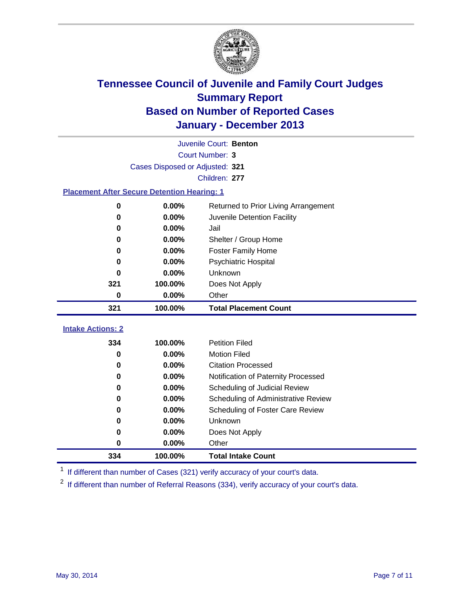

|                                                    | Juvenile Court: Benton |                                      |  |  |  |
|----------------------------------------------------|------------------------|--------------------------------------|--|--|--|
| Court Number: 3                                    |                        |                                      |  |  |  |
| Cases Disposed or Adjusted: 321                    |                        |                                      |  |  |  |
|                                                    | Children: 277          |                                      |  |  |  |
| <b>Placement After Secure Detention Hearing: 1</b> |                        |                                      |  |  |  |
| 0                                                  | 0.00%                  | Returned to Prior Living Arrangement |  |  |  |
| $\bf{0}$                                           | 0.00%                  | Juvenile Detention Facility          |  |  |  |
| 0                                                  | 0.00%                  | Jail                                 |  |  |  |
| 0                                                  | 0.00%                  | Shelter / Group Home                 |  |  |  |
| 0                                                  | 0.00%                  | <b>Foster Family Home</b>            |  |  |  |
| 0                                                  | 0.00%                  | <b>Psychiatric Hospital</b>          |  |  |  |
| 0                                                  | 0.00%                  | Unknown                              |  |  |  |
| 321                                                | 100.00%                | Does Not Apply                       |  |  |  |
| 0                                                  | 0.00%                  | Other                                |  |  |  |
| 321                                                | 100.00%                | <b>Total Placement Count</b>         |  |  |  |
| <b>Intake Actions: 2</b>                           |                        |                                      |  |  |  |
| 334                                                | 100.00%                | <b>Petition Filed</b>                |  |  |  |
| 0                                                  | 0.00%                  | <b>Motion Filed</b>                  |  |  |  |
| 0                                                  | 0.00%                  | <b>Citation Processed</b>            |  |  |  |
| 0                                                  | 0.00%                  | Notification of Paternity Processed  |  |  |  |
| 0                                                  | 0.00%                  | Scheduling of Judicial Review        |  |  |  |
| 0                                                  | 0.00%                  | Scheduling of Administrative Review  |  |  |  |
| 0                                                  | 0.00%                  | Scheduling of Foster Care Review     |  |  |  |
| 0                                                  | 0.00%                  | Unknown                              |  |  |  |
| 0                                                  | 0.00%                  | Does Not Apply                       |  |  |  |
| $\bf{0}$                                           | 0.00%                  | Other                                |  |  |  |
| 334                                                | 100.00%                | <b>Total Intake Count</b>            |  |  |  |

<sup>1</sup> If different than number of Cases (321) verify accuracy of your court's data.

If different than number of Referral Reasons (334), verify accuracy of your court's data.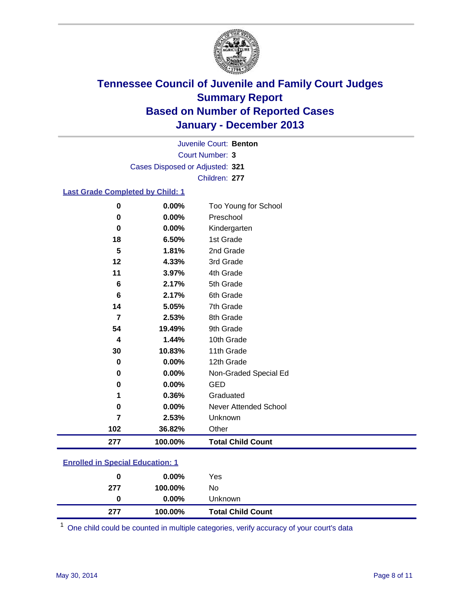

Court Number: **3** Juvenile Court: **Benton** Cases Disposed or Adjusted: **321** Children: **277**

### **Last Grade Completed by Child: 1**

| $\bf{0}$        | 0.00%   | Too Young for School     |
|-----------------|---------|--------------------------|
| 0               | 0.00%   | Preschool                |
| 0               | 0.00%   | Kindergarten             |
| 18              | 6.50%   | 1st Grade                |
| 5               | 1.81%   | 2nd Grade                |
| 12              | 4.33%   | 3rd Grade                |
| 11              | 3.97%   | 4th Grade                |
| $6\phantom{1}6$ | 2.17%   | 5th Grade                |
| $6\phantom{1}6$ | 2.17%   | 6th Grade                |
| 14              | 5.05%   | 7th Grade                |
| 7               | 2.53%   | 8th Grade                |
| 54              | 19.49%  | 9th Grade                |
| 4               | 1.44%   | 10th Grade               |
| 30              | 10.83%  | 11th Grade               |
| 0               | 0.00%   | 12th Grade               |
| 0               | 0.00%   | Non-Graded Special Ed    |
| $\bf{0}$        | 0.00%   | <b>GED</b>               |
| 1               | 0.36%   | Graduated                |
| 0               | 0.00%   | Never Attended School    |
| 7               | 2.53%   | Unknown                  |
| 102             | 36.82%  | Other                    |
| 277             | 100.00% | <b>Total Child Count</b> |

### **Enrolled in Special Education: 1**

| 277 | 100.00%  | <b>Total Child Count</b> |  |
|-----|----------|--------------------------|--|
| 0   | $0.00\%$ | Unknown                  |  |
| 277 | 100.00%  | No                       |  |
| 0   | $0.00\%$ | Yes                      |  |
|     |          |                          |  |

One child could be counted in multiple categories, verify accuracy of your court's data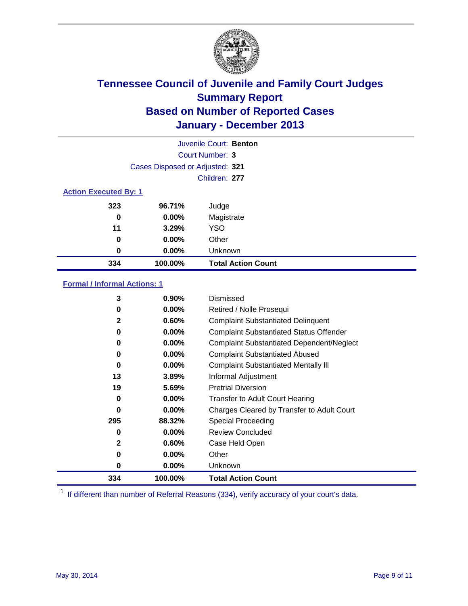

|                              |                                 | Juvenile Court: Benton    |
|------------------------------|---------------------------------|---------------------------|
|                              |                                 | Court Number: 3           |
|                              | Cases Disposed or Adjusted: 321 |                           |
|                              |                                 | Children: 277             |
| <b>Action Executed By: 1</b> |                                 |                           |
| 323                          | 96.71%                          | Judge                     |
| 0                            | 0.00%                           | Magistrate                |
| 11                           | 3.29%                           | <b>YSO</b>                |
| 0                            | $0.00\%$                        | Other                     |
| 0                            | 0.00%                           | Unknown                   |
| 334                          | 100.00%                         | <b>Total Action Count</b> |

### **Formal / Informal Actions: 1**

| 3            | $0.90\%$ | Dismissed                                        |
|--------------|----------|--------------------------------------------------|
| 0            | $0.00\%$ | Retired / Nolle Prosequi                         |
| $\mathbf{2}$ | 0.60%    | <b>Complaint Substantiated Delinquent</b>        |
| 0            | $0.00\%$ | <b>Complaint Substantiated Status Offender</b>   |
| 0            | $0.00\%$ | <b>Complaint Substantiated Dependent/Neglect</b> |
| 0            | $0.00\%$ | <b>Complaint Substantiated Abused</b>            |
| 0            | $0.00\%$ | <b>Complaint Substantiated Mentally III</b>      |
| 13           | 3.89%    | Informal Adjustment                              |
| 19           | 5.69%    | <b>Pretrial Diversion</b>                        |
| 0            | $0.00\%$ | <b>Transfer to Adult Court Hearing</b>           |
| 0            | $0.00\%$ | Charges Cleared by Transfer to Adult Court       |
| 295          | 88.32%   | Special Proceeding                               |
| 0            | $0.00\%$ | <b>Review Concluded</b>                          |
| $\mathbf{2}$ | 0.60%    | Case Held Open                                   |
| 0            | $0.00\%$ | Other                                            |
| 0            | $0.00\%$ | Unknown                                          |
| 334          | 100.00%  | <b>Total Action Count</b>                        |

<sup>1</sup> If different than number of Referral Reasons (334), verify accuracy of your court's data.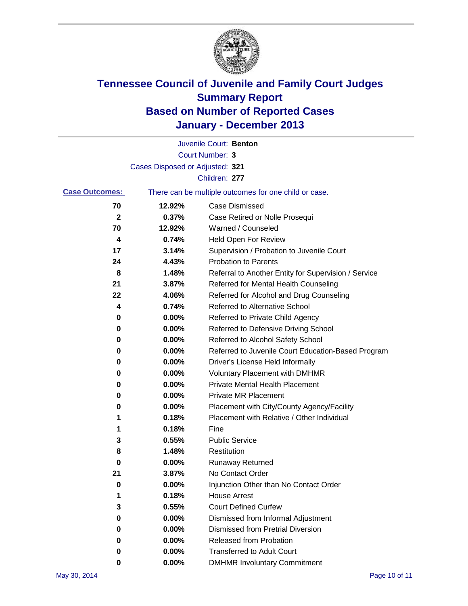

|                       |                                 | Juvenile Court: Benton                                |
|-----------------------|---------------------------------|-------------------------------------------------------|
|                       |                                 | Court Number: 3                                       |
|                       | Cases Disposed or Adjusted: 321 |                                                       |
|                       |                                 | Children: 277                                         |
| <b>Case Outcomes:</b> |                                 | There can be multiple outcomes for one child or case. |
| 70                    | 12.92%                          | Case Dismissed                                        |
| $\boldsymbol{2}$      | 0.37%                           | Case Retired or Nolle Prosequi                        |
| 70                    | 12.92%                          | Warned / Counseled                                    |
| 4                     | 0.74%                           | <b>Held Open For Review</b>                           |
| 17                    | 3.14%                           | Supervision / Probation to Juvenile Court             |
| 24                    | 4.43%                           | <b>Probation to Parents</b>                           |
| 8                     | 1.48%                           | Referral to Another Entity for Supervision / Service  |
| 21                    | 3.87%                           | Referred for Mental Health Counseling                 |
| 22                    | 4.06%                           | Referred for Alcohol and Drug Counseling              |
| 4                     | 0.74%                           | Referred to Alternative School                        |
| 0                     | 0.00%                           | Referred to Private Child Agency                      |
| 0                     | 0.00%                           | Referred to Defensive Driving School                  |
| 0                     | 0.00%                           | Referred to Alcohol Safety School                     |
| 0                     | 0.00%                           | Referred to Juvenile Court Education-Based Program    |
| 0                     | 0.00%                           | Driver's License Held Informally                      |
| 0                     | 0.00%                           | <b>Voluntary Placement with DMHMR</b>                 |
| 0                     | 0.00%                           | <b>Private Mental Health Placement</b>                |
| 0                     | 0.00%                           | <b>Private MR Placement</b>                           |
| 0                     | 0.00%                           | Placement with City/County Agency/Facility            |
| 1                     | 0.18%                           | Placement with Relative / Other Individual            |
| 1                     | 0.18%                           | Fine                                                  |
| 3                     | 0.55%                           | <b>Public Service</b>                                 |
| 8                     | 1.48%                           | Restitution                                           |
| 0                     | 0.00%                           | <b>Runaway Returned</b>                               |
| 21                    | 3.87%                           | No Contact Order                                      |
| 0                     | 0.00%                           | Injunction Other than No Contact Order                |
| 1                     | 0.18%                           | <b>House Arrest</b>                                   |
| 3                     | 0.55%                           | <b>Court Defined Curfew</b>                           |
| 0                     | 0.00%                           | Dismissed from Informal Adjustment                    |
| 0                     | 0.00%                           | <b>Dismissed from Pretrial Diversion</b>              |
| 0                     | 0.00%                           | Released from Probation                               |
| 0                     | 0.00%                           | <b>Transferred to Adult Court</b>                     |
| 0                     | 0.00%                           | <b>DMHMR Involuntary Commitment</b>                   |